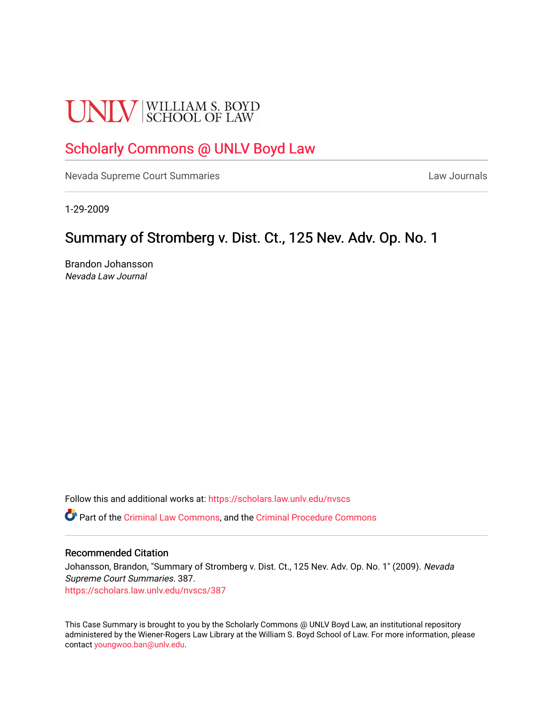# **UNLV** SCHOOL OF LAW

# [Scholarly Commons @ UNLV Boyd Law](https://scholars.law.unlv.edu/)

[Nevada Supreme Court Summaries](https://scholars.law.unlv.edu/nvscs) **Law Journals** Law Journals

1-29-2009

# Summary of Stromberg v. Dist. Ct., 125 Nev. Adv. Op. No. 1

Brandon Johansson Nevada Law Journal

Follow this and additional works at: [https://scholars.law.unlv.edu/nvscs](https://scholars.law.unlv.edu/nvscs?utm_source=scholars.law.unlv.edu%2Fnvscs%2F387&utm_medium=PDF&utm_campaign=PDFCoverPages)

Part of the [Criminal Law Commons,](http://network.bepress.com/hgg/discipline/912?utm_source=scholars.law.unlv.edu%2Fnvscs%2F387&utm_medium=PDF&utm_campaign=PDFCoverPages) and the [Criminal Procedure Commons](http://network.bepress.com/hgg/discipline/1073?utm_source=scholars.law.unlv.edu%2Fnvscs%2F387&utm_medium=PDF&utm_campaign=PDFCoverPages)

#### Recommended Citation

Johansson, Brandon, "Summary of Stromberg v. Dist. Ct., 125 Nev. Adv. Op. No. 1" (2009). Nevada Supreme Court Summaries. 387. [https://scholars.law.unlv.edu/nvscs/387](https://scholars.law.unlv.edu/nvscs/387?utm_source=scholars.law.unlv.edu%2Fnvscs%2F387&utm_medium=PDF&utm_campaign=PDFCoverPages)

This Case Summary is brought to you by the Scholarly Commons @ UNLV Boyd Law, an institutional repository administered by the Wiener-Rogers Law Library at the William S. Boyd School of Law. For more information, please contact [youngwoo.ban@unlv.edu](mailto:youngwoo.ban@unlv.edu).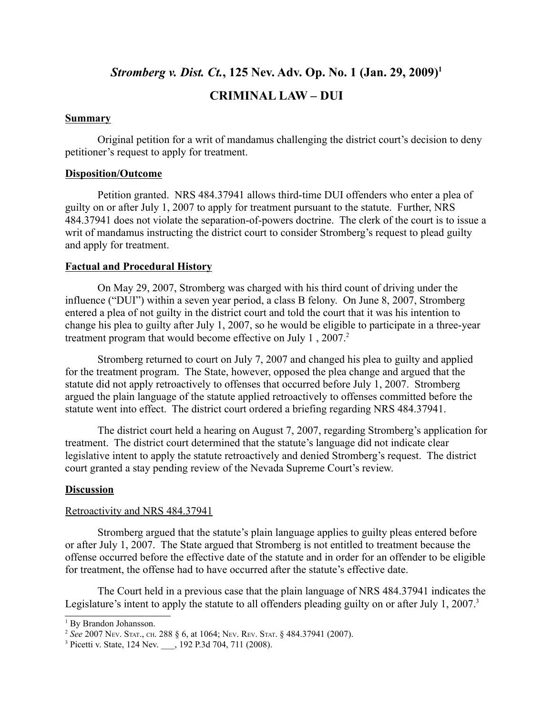## *Stromberg v. Dist. Ct.***, 125 Nev. Adv. Op. No. 1 (Jan. 29, 2009)1**

## **CRIMINAL LAW – DUI**

#### **Summary**

Original petition for a writ of mandamus challenging the district court's decision to deny petitioner's request to apply for treatment.

#### **Disposition/Outcome**

Petition granted. NRS 484.37941 allows third-time DUI offenders who enter a plea of guilty on or after July 1, 2007 to apply for treatment pursuant to the statute. Further, NRS 484.37941 does not violate the separation-of-powers doctrine. The clerk of the court is to issue a writ of mandamus instructing the district court to consider Stromberg's request to plead guilty and apply for treatment.

#### **Factual and Procedural History**

On May 29, 2007, Stromberg was charged with his third count of driving under the influence ("DUI") within a seven year period, a class B felony. On June 8, 2007, Stromberg entered a plea of not guilty in the district court and told the court that it was his intention to change his plea to guilty after July 1, 2007, so he would be eligible to participate in a three-year treatment program that would become effective on July 1, 2007.<sup>2</sup>

Stromberg returned to court on July 7, 2007 and changed his plea to guilty and applied for the treatment program. The State, however, opposed the plea change and argued that the statute did not apply retroactively to offenses that occurred before July 1, 2007. Stromberg argued the plain language of the statute applied retroactively to offenses committed before the statute went into effect. The district court ordered a briefing regarding NRS 484.37941.

The district court held a hearing on August 7, 2007, regarding Stromberg's application for treatment. The district court determined that the statute's language did not indicate clear legislative intent to apply the statute retroactively and denied Stromberg's request. The district court granted a stay pending review of the Nevada Supreme Court's review.

#### **Discussion**

#### Retroactivity and NRS 484.37941

Stromberg argued that the statute's plain language applies to guilty pleas entered before or after July 1, 2007. The State argued that Stromberg is not entitled to treatment because the offense occurred before the effective date of the statute and in order for an offender to be eligible for treatment, the offense had to have occurred after the statute's effective date.

The Court held in a previous case that the plain language of NRS 484.37941 indicates the Legislature's intent to apply the statute to all offenders pleading guilty on or after July 1, 2007.<sup>3</sup>

<sup>&</sup>lt;sup>1</sup> By Brandon Johansson.

<sup>2</sup> *See* 2007 NEV. STAT., CH. 288 § 6, at 1064; NEV. REV. STAT. § 484.37941 (2007).

<sup>&</sup>lt;sup>3</sup> Picetti v. State, 124 Nev. \_\_\_, 192 P.3d 704, 711 (2008).